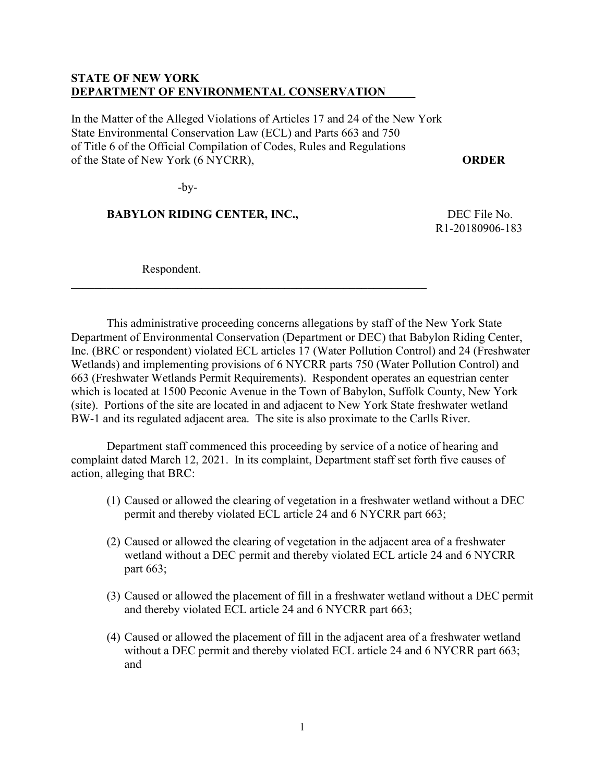## **STATE OF NEW YORK DEPARTMENT OF ENVIRONMENTAL CONSERVATION**

In the Matter of the Alleged Violations of Articles 17 and 24 of the New York State Environmental Conservation Law (ECL) and Parts 663 and 750 of Title 6 of the Official Compilation of Codes, Rules and Regulations of the State of New York (6 NYCRR), **ORDER**

**\_\_\_\_\_\_\_\_\_\_\_\_\_\_\_\_\_\_\_\_\_\_\_\_\_\_\_\_\_\_\_\_\_\_\_\_\_\_\_\_\_\_\_\_\_\_\_\_\_\_\_\_\_\_\_\_\_\_\_\_** 

-by-

## **BABYLON RIDING CENTER, INC., BABYLON RIDING CENTER, INC.,**

R1-20180906-183

Respondent.

This administrative proceeding concerns allegations by staff of the New York State Department of Environmental Conservation (Department or DEC) that Babylon Riding Center, Inc. (BRC or respondent) violated ECL articles 17 (Water Pollution Control) and 24 (Freshwater Wetlands) and implementing provisions of 6 NYCRR parts 750 (Water Pollution Control) and 663 (Freshwater Wetlands Permit Requirements). Respondent operates an equestrian center which is located at 1500 Peconic Avenue in the Town of Babylon, Suffolk County, New York (site). Portions of the site are located in and adjacent to New York State freshwater wetland BW-1 and its regulated adjacent area. The site is also proximate to the Carlls River.

Department staff commenced this proceeding by service of a notice of hearing and complaint dated March 12, 2021. In its complaint, Department staff set forth five causes of action, alleging that BRC:

- (1) Caused or allowed the clearing of vegetation in a freshwater wetland without a DEC permit and thereby violated ECL article 24 and 6 NYCRR part 663;
- (2) Caused or allowed the clearing of vegetation in the adjacent area of a freshwater wetland without a DEC permit and thereby violated ECL article 24 and 6 NYCRR part 663;
- (3) Caused or allowed the placement of fill in a freshwater wetland without a DEC permit and thereby violated ECL article 24 and 6 NYCRR part 663;
- (4) Caused or allowed the placement of fill in the adjacent area of a freshwater wetland without a DEC permit and thereby violated ECL article 24 and 6 NYCRR part 663; and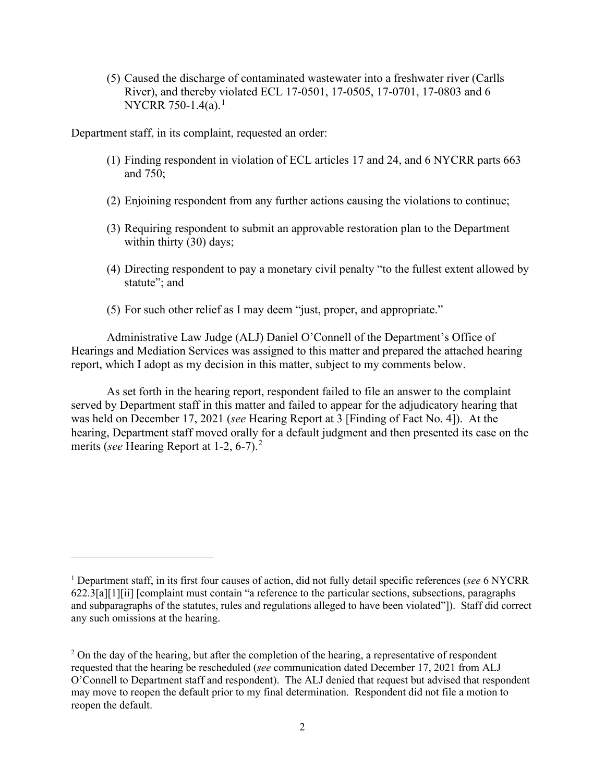(5) Caused the discharge of contaminated wastewater into a freshwater river (Carlls River), and thereby violated ECL 17-0501, 17-0505, 17-0701, 17-0803 and 6 NYCRR 750-[1](#page-1-0).4(a).<sup>1</sup>

Department staff, in its complaint, requested an order:

- (1) Finding respondent in violation of ECL articles 17 and 24, and 6 NYCRR parts 663 and 750;
- (2) Enjoining respondent from any further actions causing the violations to continue;
- (3) Requiring respondent to submit an approvable restoration plan to the Department within thirty (30) days;
- (4) Directing respondent to pay a monetary civil penalty "to the fullest extent allowed by statute"; and
- (5) For such other relief as I may deem "just, proper, and appropriate."

Administrative Law Judge (ALJ) Daniel O'Connell of the Department's Office of Hearings and Mediation Services was assigned to this matter and prepared the attached hearing report, which I adopt as my decision in this matter, subject to my comments below.

As set forth in the hearing report, respondent failed to file an answer to the complaint served by Department staff in this matter and failed to appear for the adjudicatory hearing that was held on December 17, 2021 (*see* Hearing Report at 3 [Finding of Fact No. 4]). At the hearing, Department staff moved orally for a default judgment and then presented its case on the merits (*see* Hearing Report at 1-2, 6-7). [2](#page-1-1)

<span id="page-1-0"></span><sup>1</sup> Department staff, in its first four causes of action, did not fully detail specific references (*see* 6 NYCRR 622.3[a][1][ii] [complaint must contain "a reference to the particular sections, subsections, paragraphs and subparagraphs of the statutes, rules and regulations alleged to have been violated"]). Staff did correct any such omissions at the hearing.

<span id="page-1-1"></span> $2$  On the day of the hearing, but after the completion of the hearing, a representative of respondent requested that the hearing be rescheduled (*see* communication dated December 17, 2021 from ALJ O'Connell to Department staff and respondent). The ALJ denied that request but advised that respondent may move to reopen the default prior to my final determination. Respondent did not file a motion to reopen the default.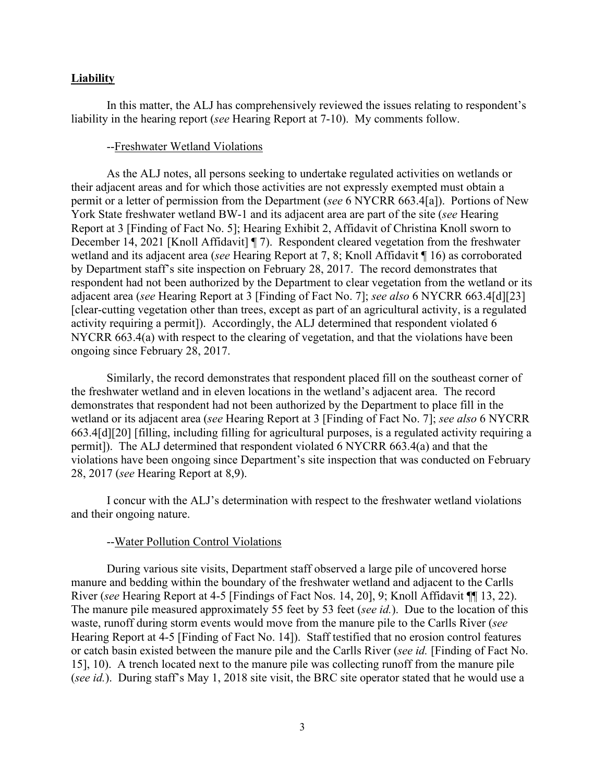#### **Liability**

In this matter, the ALJ has comprehensively reviewed the issues relating to respondent's liability in the hearing report (*see* Hearing Report at 7-10). My comments follow.

#### --Freshwater Wetland Violations

As the ALJ notes, all persons seeking to undertake regulated activities on wetlands or their adjacent areas and for which those activities are not expressly exempted must obtain a permit or a letter of permission from the Department (*see* 6 NYCRR 663.4[a]). Portions of New York State freshwater wetland BW-1 and its adjacent area are part of the site (*see* Hearing Report at 3 [Finding of Fact No. 5]; Hearing Exhibit 2, Affidavit of Christina Knoll sworn to December 14, 2021 [Knoll Affidavit] [7]. Respondent cleared vegetation from the freshwater wetland and its adjacent area (*see* Hearing Report at 7, 8; Knoll Affidavit ¶ 16) as corroborated by Department staff's site inspection on February 28, 2017. The record demonstrates that respondent had not been authorized by the Department to clear vegetation from the wetland or its adjacent area (*see* Hearing Report at 3 [Finding of Fact No. 7]; *see also* 6 NYCRR 663.4[d][23] [clear-cutting vegetation other than trees, except as part of an agricultural activity, is a regulated activity requiring a permit]). Accordingly, the ALJ determined that respondent violated 6 NYCRR 663.4(a) with respect to the clearing of vegetation, and that the violations have been ongoing since February 28, 2017.

Similarly, the record demonstrates that respondent placed fill on the southeast corner of the freshwater wetland and in eleven locations in the wetland's adjacent area. The record demonstrates that respondent had not been authorized by the Department to place fill in the wetland or its adjacent area (*see* Hearing Report at 3 [Finding of Fact No. 7]; *see also* 6 NYCRR 663.4[d][20] [filling, including filling for agricultural purposes, is a regulated activity requiring a permit]). The ALJ determined that respondent violated 6 NYCRR 663.4(a) and that the violations have been ongoing since Department's site inspection that was conducted on February 28, 2017 (*see* Hearing Report at 8,9).

I concur with the ALJ's determination with respect to the freshwater wetland violations and their ongoing nature.

#### --Water Pollution Control Violations

During various site visits, Department staff observed a large pile of uncovered horse manure and bedding within the boundary of the freshwater wetland and adjacent to the Carlls River (*see* Hearing Report at 4-5 [Findings of Fact Nos. 14, 20], 9; Knoll Affidavit ¶¶ 13, 22). The manure pile measured approximately 55 feet by 53 feet (*see id.*). Due to the location of this waste, runoff during storm events would move from the manure pile to the Carlls River (*see* Hearing Report at 4-5 [Finding of Fact No. 14]). Staff testified that no erosion control features or catch basin existed between the manure pile and the Carlls River (*see id.* [Finding of Fact No. 15], 10). A trench located next to the manure pile was collecting runoff from the manure pile (*see id.*). During staff's May 1, 2018 site visit, the BRC site operator stated that he would use a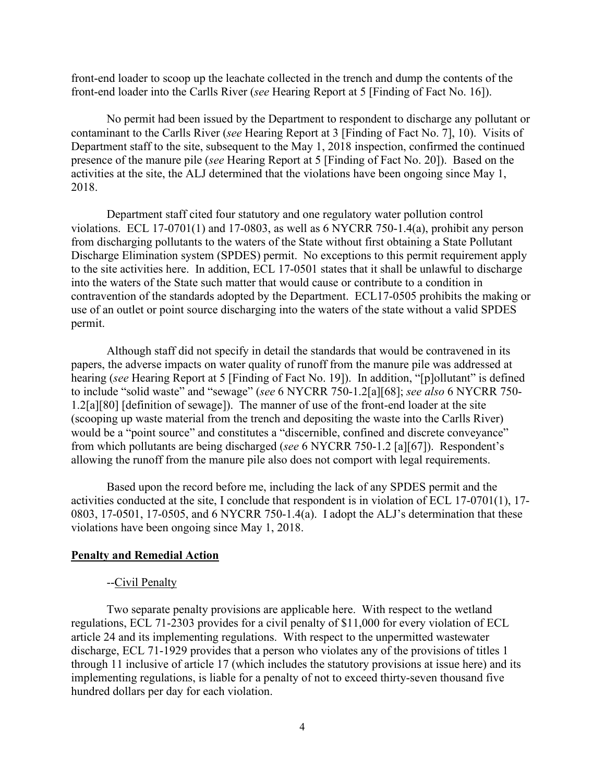front-end loader to scoop up the leachate collected in the trench and dump the contents of the front-end loader into the Carlls River (*see* Hearing Report at 5 [Finding of Fact No. 16]).

No permit had been issued by the Department to respondent to discharge any pollutant or contaminant to the Carlls River (*see* Hearing Report at 3 [Finding of Fact No. 7], 10). Visits of Department staff to the site, subsequent to the May 1, 2018 inspection, confirmed the continued presence of the manure pile (*see* Hearing Report at 5 [Finding of Fact No. 20]). Based on the activities at the site, the ALJ determined that the violations have been ongoing since May 1, 2018.

Department staff cited four statutory and one regulatory water pollution control violations. ECL 17-0701(1) and 17-0803, as well as 6 NYCRR 750-1.4(a), prohibit any person from discharging pollutants to the waters of the State without first obtaining a State Pollutant Discharge Elimination system (SPDES) permit. No exceptions to this permit requirement apply to the site activities here. In addition, ECL 17-0501 states that it shall be unlawful to discharge into the waters of the State such matter that would cause or contribute to a condition in contravention of the standards adopted by the Department. ECL17-0505 prohibits the making or use of an outlet or point source discharging into the waters of the state without a valid SPDES permit.

Although staff did not specify in detail the standards that would be contravened in its papers, the adverse impacts on water quality of runoff from the manure pile was addressed at hearing (*see* Hearing Report at 5 [Finding of Fact No. 19]). In addition, "[p]ollutant" is defined to include "solid waste" and "sewage" (*see* 6 NYCRR 750-1.2[a][68]; *see also* 6 NYCRR 750- 1.2[a][80] [definition of sewage]). The manner of use of the front-end loader at the site (scooping up waste material from the trench and depositing the waste into the Carlls River) would be a "point source" and constitutes a "discernible, confined and discrete conveyance" from which pollutants are being discharged (*see* 6 NYCRR 750-1.2 [a][67]). Respondent's allowing the runoff from the manure pile also does not comport with legal requirements.

Based upon the record before me, including the lack of any SPDES permit and the activities conducted at the site, I conclude that respondent is in violation of ECL 17-0701(1), 17- 0803, 17-0501, 17-0505, and 6 NYCRR 750-1.4(a). I adopt the ALJ's determination that these violations have been ongoing since May 1, 2018.

#### **Penalty and Remedial Action**

#### --Civil Penalty

Two separate penalty provisions are applicable here. With respect to the wetland regulations, ECL 71-2303 provides for a civil penalty of \$11,000 for every violation of ECL article 24 and its implementing regulations. With respect to the unpermitted wastewater discharge, ECL 71-1929 provides that a person who violates any of the provisions of titles 1 through 11 inclusive of article 17 (which includes the statutory provisions at issue here) and its implementing regulations, is liable for a penalty of not to exceed thirty-seven thousand five hundred dollars per day for each violation.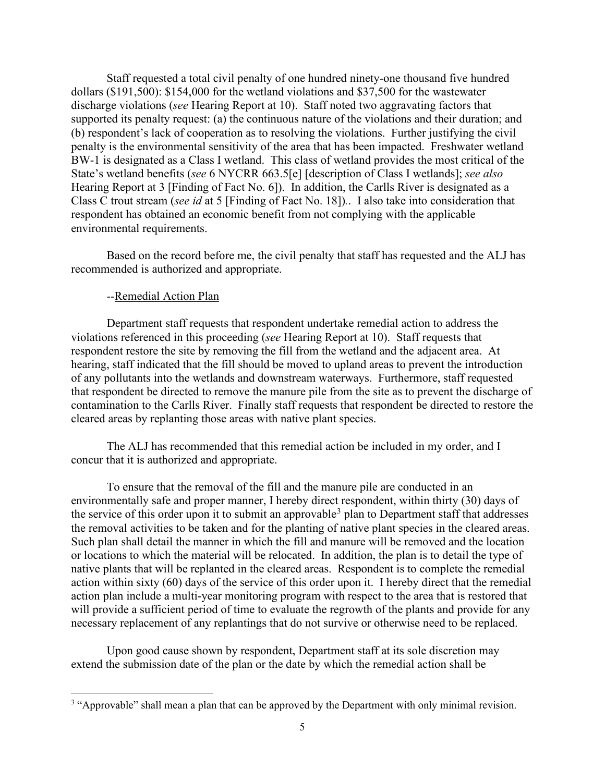Staff requested a total civil penalty of one hundred ninety-one thousand five hundred dollars (\$191,500): \$154,000 for the wetland violations and \$37,500 for the wastewater discharge violations (*see* Hearing Report at 10). Staff noted two aggravating factors that supported its penalty request: (a) the continuous nature of the violations and their duration; and (b) respondent's lack of cooperation as to resolving the violations. Further justifying the civil penalty is the environmental sensitivity of the area that has been impacted. Freshwater wetland BW-1 is designated as a Class I wetland. This class of wetland provides the most critical of the State's wetland benefits (*see* 6 NYCRR 663.5[e] [description of Class I wetlands]; *see also*  Hearing Report at 3 [Finding of Fact No. 6]). In addition, the Carlls River is designated as a Class C trout stream (*see id* at 5 [Finding of Fact No. 18])*.*. I also take into consideration that respondent has obtained an economic benefit from not complying with the applicable environmental requirements.

Based on the record before me, the civil penalty that staff has requested and the ALJ has recommended is authorized and appropriate.

#### --Remedial Action Plan

Department staff requests that respondent undertake remedial action to address the violations referenced in this proceeding (*see* Hearing Report at 10). Staff requests that respondent restore the site by removing the fill from the wetland and the adjacent area. At hearing, staff indicated that the fill should be moved to upland areas to prevent the introduction of any pollutants into the wetlands and downstream waterways. Furthermore, staff requested that respondent be directed to remove the manure pile from the site as to prevent the discharge of contamination to the Carlls River. Finally staff requests that respondent be directed to restore the cleared areas by replanting those areas with native plant species.

The ALJ has recommended that this remedial action be included in my order, and I concur that it is authorized and appropriate.

To ensure that the removal of the fill and the manure pile are conducted in an environmentally safe and proper manner, I hereby direct respondent, within thirty (30) days of the service of this order upon it to submit an approvable<sup>[3](#page-4-0)</sup> plan to Department staff that addresses the removal activities to be taken and for the planting of native plant species in the cleared areas. Such plan shall detail the manner in which the fill and manure will be removed and the location or locations to which the material will be relocated. In addition, the plan is to detail the type of native plants that will be replanted in the cleared areas. Respondent is to complete the remedial action within sixty (60) days of the service of this order upon it. I hereby direct that the remedial action plan include a multi-year monitoring program with respect to the area that is restored that will provide a sufficient period of time to evaluate the regrowth of the plants and provide for any necessary replacement of any replantings that do not survive or otherwise need to be replaced.

Upon good cause shown by respondent, Department staff at its sole discretion may extend the submission date of the plan or the date by which the remedial action shall be

<span id="page-4-0"></span><sup>&</sup>lt;sup>3</sup> "Approvable" shall mean a plan that can be approved by the Department with only minimal revision.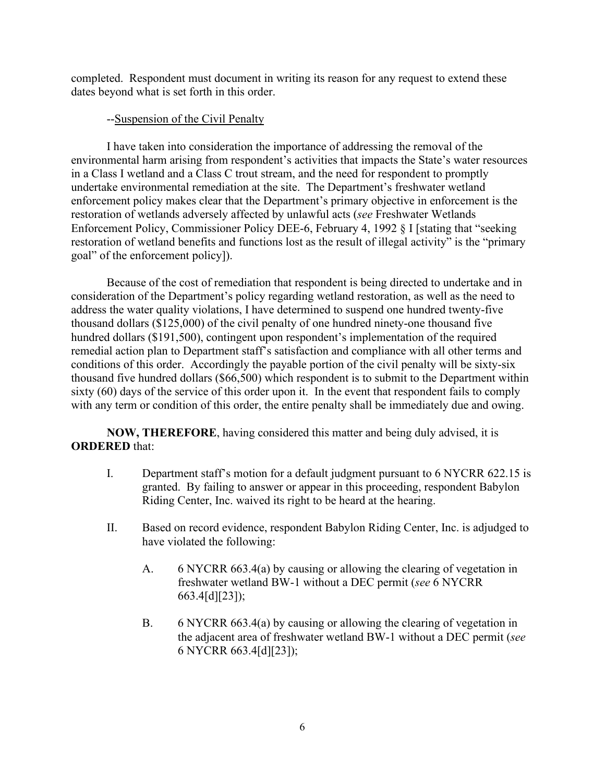completed. Respondent must document in writing its reason for any request to extend these dates beyond what is set forth in this order.

## --Suspension of the Civil Penalty

I have taken into consideration the importance of addressing the removal of the environmental harm arising from respondent's activities that impacts the State's water resources in a Class I wetland and a Class C trout stream, and the need for respondent to promptly undertake environmental remediation at the site. The Department's freshwater wetland enforcement policy makes clear that the Department's primary objective in enforcement is the restoration of wetlands adversely affected by unlawful acts (*see* Freshwater Wetlands Enforcement Policy, Commissioner Policy DEE-6, February 4, 1992 § I [stating that "seeking restoration of wetland benefits and functions lost as the result of illegal activity" is the "primary goal" of the enforcement policy]).

Because of the cost of remediation that respondent is being directed to undertake and in consideration of the Department's policy regarding wetland restoration, as well as the need to address the water quality violations, I have determined to suspend one hundred twenty-five thousand dollars (\$125,000) of the civil penalty of one hundred ninety-one thousand five hundred dollars (\$191,500), contingent upon respondent's implementation of the required remedial action plan to Department staff's satisfaction and compliance with all other terms and conditions of this order. Accordingly the payable portion of the civil penalty will be sixty-six thousand five hundred dollars (\$66,500) which respondent is to submit to the Department within sixty (60) days of the service of this order upon it. In the event that respondent fails to comply with any term or condition of this order, the entire penalty shall be immediately due and owing.

**NOW, THEREFORE**, having considered this matter and being duly advised, it is **ORDERED** that:

- I. Department staff's motion for a default judgment pursuant to 6 NYCRR 622.15 is granted. By failing to answer or appear in this proceeding, respondent Babylon Riding Center, Inc. waived its right to be heard at the hearing.
- II. Based on record evidence, respondent Babylon Riding Center, Inc. is adjudged to have violated the following:
	- A. 6 NYCRR 663.4(a) by causing or allowing the clearing of vegetation in freshwater wetland BW-1 without a DEC permit (*see* 6 NYCRR 663.4[d][23]);
	- B. 6 NYCRR 663.4(a) by causing or allowing the clearing of vegetation in the adjacent area of freshwater wetland BW-1 without a DEC permit (*see*  6 NYCRR 663.4[d][23]);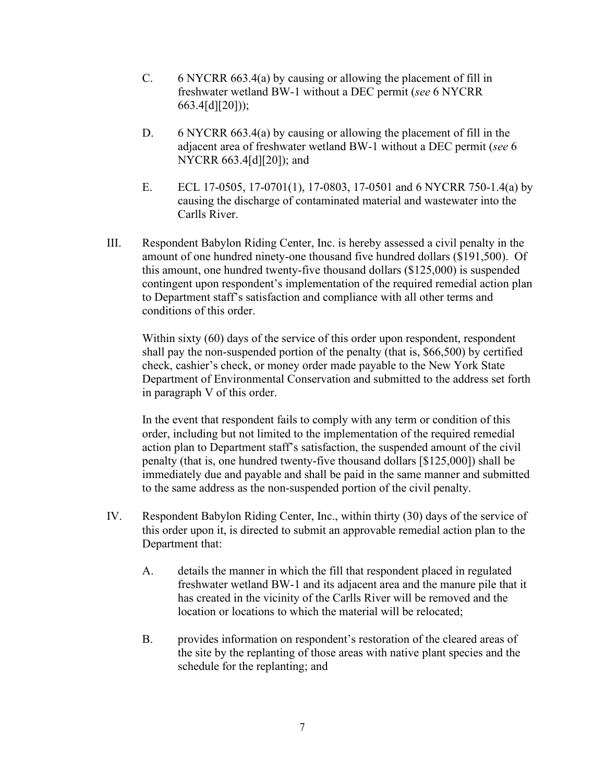- C. 6 NYCRR 663.4(a) by causing or allowing the placement of fill in freshwater wetland BW-1 without a DEC permit (*see* 6 NYCRR 663.4[d][20]));
- D. 6 NYCRR 663.4(a) by causing or allowing the placement of fill in the adjacent area of freshwater wetland BW-1 without a DEC permit (*see* 6 NYCRR 663.4[d][20]); and
- E. ECL 17-0505, 17-0701(1), 17-0803, 17-0501 and 6 NYCRR 750-1.4(a) by causing the discharge of contaminated material and wastewater into the Carlls River.
- III. Respondent Babylon Riding Center, Inc. is hereby assessed a civil penalty in the amount of one hundred ninety-one thousand five hundred dollars (\$191,500). Of this amount, one hundred twenty-five thousand dollars (\$125,000) is suspended contingent upon respondent's implementation of the required remedial action plan to Department staff's satisfaction and compliance with all other terms and conditions of this order.

Within sixty (60) days of the service of this order upon respondent, respondent shall pay the non-suspended portion of the penalty (that is, \$66,500) by certified check, cashier's check, or money order made payable to the New York State Department of Environmental Conservation and submitted to the address set forth in paragraph V of this order.

In the event that respondent fails to comply with any term or condition of this order, including but not limited to the implementation of the required remedial action plan to Department staff's satisfaction, the suspended amount of the civil penalty (that is, one hundred twenty-five thousand dollars [\$125,000]) shall be immediately due and payable and shall be paid in the same manner and submitted to the same address as the non-suspended portion of the civil penalty.

- IV. Respondent Babylon Riding Center, Inc., within thirty (30) days of the service of this order upon it, is directed to submit an approvable remedial action plan to the Department that:
	- A. details the manner in which the fill that respondent placed in regulated freshwater wetland BW-1 and its adjacent area and the manure pile that it has created in the vicinity of the Carlls River will be removed and the location or locations to which the material will be relocated;
	- B. provides information on respondent's restoration of the cleared areas of the site by the replanting of those areas with native plant species and the schedule for the replanting; and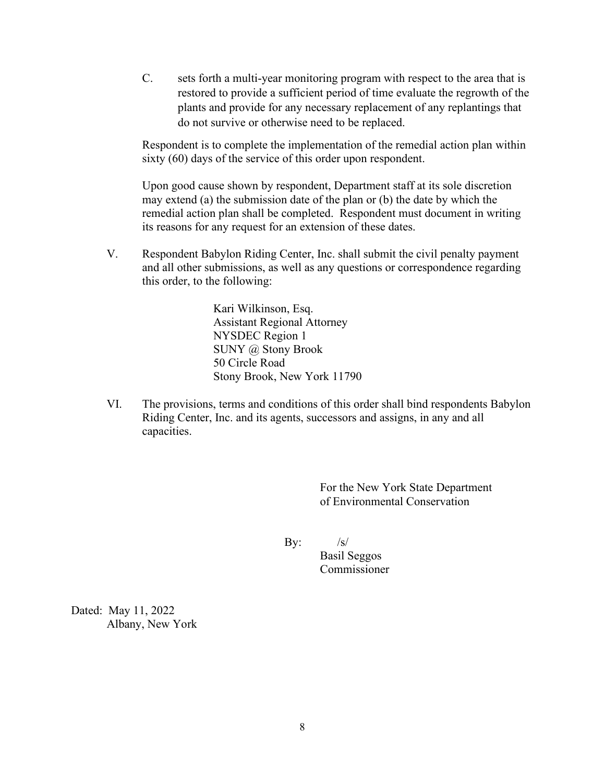C. sets forth a multi-year monitoring program with respect to the area that is restored to provide a sufficient period of time evaluate the regrowth of the plants and provide for any necessary replacement of any replantings that do not survive or otherwise need to be replaced.

Respondent is to complete the implementation of the remedial action plan within sixty (60) days of the service of this order upon respondent.

Upon good cause shown by respondent, Department staff at its sole discretion may extend (a) the submission date of the plan or (b) the date by which the remedial action plan shall be completed. Respondent must document in writing its reasons for any request for an extension of these dates.

V. Respondent Babylon Riding Center, Inc. shall submit the civil penalty payment and all other submissions, as well as any questions or correspondence regarding this order, to the following:

> Kari Wilkinson, Esq. Assistant Regional Attorney NYSDEC Region 1 SUNY @ Stony Brook 50 Circle Road Stony Brook, New York 11790

VI. The provisions, terms and conditions of this order shall bind respondents Babylon Riding Center, Inc. and its agents, successors and assigns, in any and all capacities.

> For the New York State Department of Environmental Conservation

By:  $/s/$ 

Basil Seggos Commissioner

Dated: May 11, 2022 Albany, New York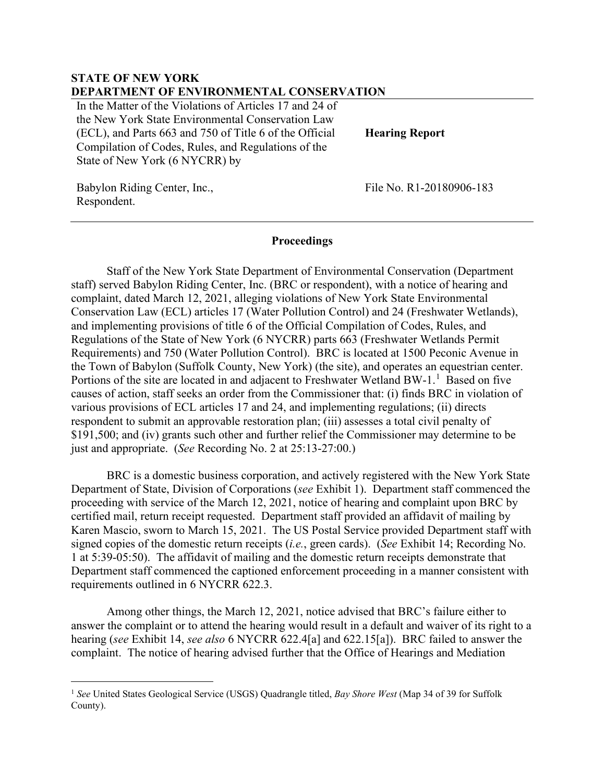## **STATE OF NEW YORK DEPARTMENT OF ENVIRONMENTAL CONSERVATION**

In the Matter of the Violations of Articles 17 and 24 of the New York State Environmental Conservation Law (ECL), and Parts 663 and 750 of Title 6 of the Official Compilation of Codes, Rules, and Regulations of the State of New York (6 NYCRR) by

**Hearing Report**

Babylon Riding Center, Inc., Respondent.

File No. R1-20180906-183

#### **Proceedings**

Staff of the New York State Department of Environmental Conservation (Department staff) served Babylon Riding Center, Inc. (BRC or respondent), with a notice of hearing and complaint, dated March 12, 2021, alleging violations of New York State Environmental Conservation Law (ECL) articles 17 (Water Pollution Control) and 24 (Freshwater Wetlands), and implementing provisions of title 6 of the Official Compilation of Codes, Rules, and Regulations of the State of New York (6 NYCRR) parts 663 (Freshwater Wetlands Permit Requirements) and 750 (Water Pollution Control). BRC is located at 1500 Peconic Avenue in the Town of Babylon (Suffolk County, New York) (the site), and operates an equestrian center. Portions of the site are located in and adjacent to Freshwater Wetland BW-[1](#page-8-0).<sup>1</sup> Based on five causes of action, staff seeks an order from the Commissioner that: (i) finds BRC in violation of various provisions of ECL articles 17 and 24, and implementing regulations; (ii) directs respondent to submit an approvable restoration plan; (iii) assesses a total civil penalty of \$191,500; and (iv) grants such other and further relief the Commissioner may determine to be just and appropriate. (*See* Recording No. 2 at 25:13-27:00.)

BRC is a domestic business corporation, and actively registered with the New York State Department of State, Division of Corporations (*see* Exhibit 1). Department staff commenced the proceeding with service of the March 12, 2021, notice of hearing and complaint upon BRC by certified mail, return receipt requested. Department staff provided an affidavit of mailing by Karen Mascio, sworn to March 15, 2021. The US Postal Service provided Department staff with signed copies of the domestic return receipts (*i.e.*, green cards). (*See* Exhibit 14; Recording No. 1 at 5:39-05:50). The affidavit of mailing and the domestic return receipts demonstrate that Department staff commenced the captioned enforcement proceeding in a manner consistent with requirements outlined in 6 NYCRR 622.3.

Among other things, the March 12, 2021, notice advised that BRC's failure either to answer the complaint or to attend the hearing would result in a default and waiver of its right to a hearing (*see* Exhibit 14, *see also* 6 NYCRR 622.4[a] and 622.15[a]). BRC failed to answer the complaint. The notice of hearing advised further that the Office of Hearings and Mediation

<span id="page-8-0"></span><sup>1</sup> *See* United States Geological Service (USGS) Quadrangle titled, *Bay Shore West* (Map 34 of 39 for Suffolk County).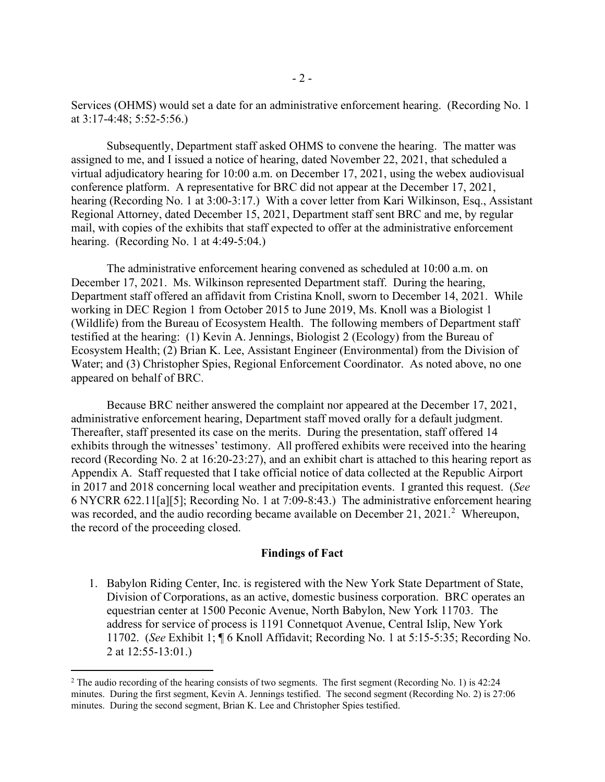Services (OHMS) would set a date for an administrative enforcement hearing. (Recording No. 1 at 3:17-4:48; 5:52-5:56.)

Subsequently, Department staff asked OHMS to convene the hearing. The matter was assigned to me, and I issued a notice of hearing, dated November 22, 2021, that scheduled a virtual adjudicatory hearing for 10:00 a.m. on December 17, 2021, using the webex audiovisual conference platform. A representative for BRC did not appear at the December 17, 2021, hearing (Recording No. 1 at 3:00-3:17.) With a cover letter from Kari Wilkinson, Esq., Assistant Regional Attorney, dated December 15, 2021, Department staff sent BRC and me, by regular mail, with copies of the exhibits that staff expected to offer at the administrative enforcement hearing. (Recording No. 1 at 4:49-5:04.)

The administrative enforcement hearing convened as scheduled at 10:00 a.m. on December 17, 2021. Ms. Wilkinson represented Department staff. During the hearing, Department staff offered an affidavit from Cristina Knoll, sworn to December 14, 2021. While working in DEC Region 1 from October 2015 to June 2019, Ms. Knoll was a Biologist 1 (Wildlife) from the Bureau of Ecosystem Health. The following members of Department staff testified at the hearing: (1) Kevin A. Jennings, Biologist 2 (Ecology) from the Bureau of Ecosystem Health; (2) Brian K. Lee, Assistant Engineer (Environmental) from the Division of Water; and (3) Christopher Spies, Regional Enforcement Coordinator. As noted above, no one appeared on behalf of BRC.

Because BRC neither answered the complaint nor appeared at the December 17, 2021, administrative enforcement hearing, Department staff moved orally for a default judgment. Thereafter, staff presented its case on the merits. During the presentation, staff offered 14 exhibits through the witnesses' testimony. All proffered exhibits were received into the hearing record (Recording No. 2 at 16:20-23:27), and an exhibit chart is attached to this hearing report as Appendix A. Staff requested that I take official notice of data collected at the Republic Airport in 2017 and 2018 concerning local weather and precipitation events. I granted this request. (*See* 6 NYCRR 622.11[a][5]; Recording No. 1 at 7:09-8:43.) The administrative enforcement hearing was recorded, and the audio recording became available on December [2](#page-9-0)1, 2021.<sup>2</sup> Whereupon, the record of the proceeding closed.

#### **Findings of Fact**

1. Babylon Riding Center, Inc. is registered with the New York State Department of State, Division of Corporations, as an active, domestic business corporation. BRC operates an equestrian center at 1500 Peconic Avenue, North Babylon, New York 11703. The address for service of process is 1191 Connetquot Avenue, Central Islip, New York 11702. (*See* Exhibit 1; ¶ 6 Knoll Affidavit; Recording No. 1 at 5:15-5:35; Recording No. 2 at 12:55-13:01.)

<span id="page-9-0"></span><sup>&</sup>lt;sup>2</sup> The audio recording of the hearing consists of two segments. The first segment (Recording No. 1) is 42:24 minutes. During the first segment, Kevin A. Jennings testified. The second segment (Recording No. 2) is 27:06 minutes. During the second segment, Brian K. Lee and Christopher Spies testified.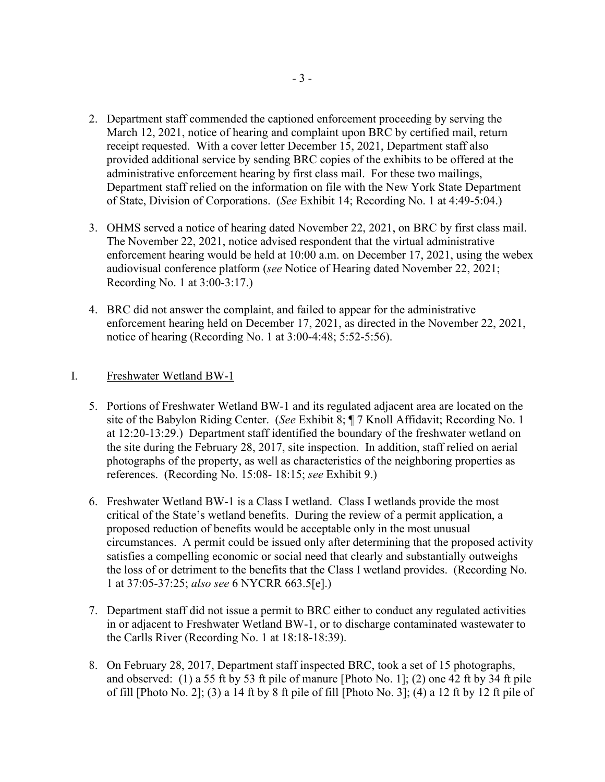- 2. Department staff commended the captioned enforcement proceeding by serving the March 12, 2021, notice of hearing and complaint upon BRC by certified mail, return receipt requested. With a cover letter December 15, 2021, Department staff also provided additional service by sending BRC copies of the exhibits to be offered at the administrative enforcement hearing by first class mail. For these two mailings, Department staff relied on the information on file with the New York State Department of State, Division of Corporations. (*See* Exhibit 14; Recording No. 1 at 4:49-5:04.)
- 3. OHMS served a notice of hearing dated November 22, 2021, on BRC by first class mail. The November 22, 2021, notice advised respondent that the virtual administrative enforcement hearing would be held at 10:00 a.m. on December 17, 2021, using the webex audiovisual conference platform (*see* Notice of Hearing dated November 22, 2021; Recording No. 1 at 3:00-3:17.)
- 4. BRC did not answer the complaint, and failed to appear for the administrative enforcement hearing held on December 17, 2021, as directed in the November 22, 2021, notice of hearing (Recording No. 1 at 3:00-4:48; 5:52-5:56).

## I. Freshwater Wetland BW-1

- 5. Portions of Freshwater Wetland BW-1 and its regulated adjacent area are located on the site of the Babylon Riding Center. (*See* Exhibit 8; ¶ 7 Knoll Affidavit; Recording No. 1 at 12:20-13:29.) Department staff identified the boundary of the freshwater wetland on the site during the February 28, 2017, site inspection. In addition, staff relied on aerial photographs of the property, as well as characteristics of the neighboring properties as references. (Recording No. 15:08- 18:15; *see* Exhibit 9.)
- 6. Freshwater Wetland BW-1 is a Class I wetland. Class I wetlands provide the most critical of the State's wetland benefits. During the review of a permit application, a proposed reduction of benefits would be acceptable only in the most unusual circumstances. A permit could be issued only after determining that the proposed activity satisfies a compelling economic or social need that clearly and substantially outweighs the loss of or detriment to the benefits that the Class I wetland provides. (Recording No. 1 at 37:05-37:25; *also see* 6 NYCRR 663.5[e].)
- 7. Department staff did not issue a permit to BRC either to conduct any regulated activities in or adjacent to Freshwater Wetland BW-1, or to discharge contaminated wastewater to the Carlls River (Recording No. 1 at 18:18-18:39).
- 8. On February 28, 2017, Department staff inspected BRC, took a set of 15 photographs, and observed: (1) a 55 ft by 53 ft pile of manure [Photo No. 1]; (2) one 42 ft by 34 ft pile of fill [Photo No. 2]; (3) a 14 ft by 8 ft pile of fill [Photo No. 3]; (4) a 12 ft by 12 ft pile of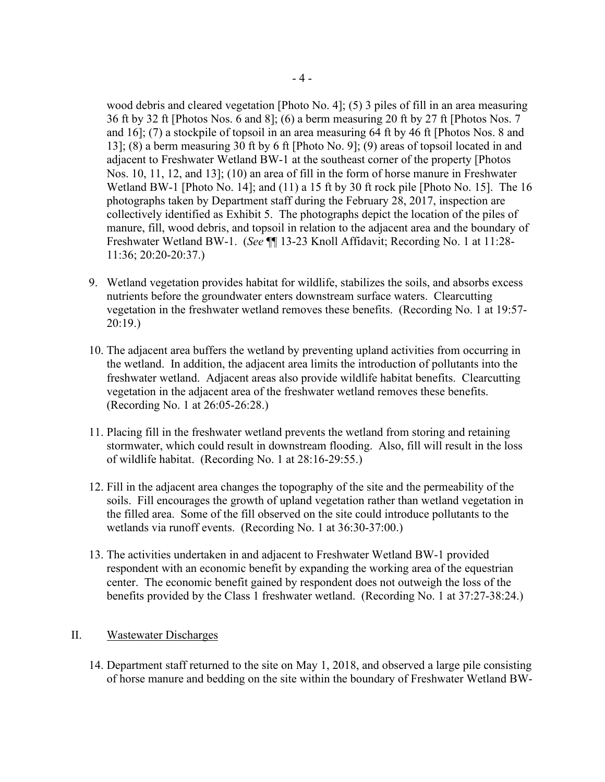wood debris and cleared vegetation [Photo No. 4]; (5) 3 piles of fill in an area measuring 36 ft by 32 ft [Photos Nos. 6 and 8]; (6) a berm measuring 20 ft by 27 ft [Photos Nos. 7 and 16]; (7) a stockpile of topsoil in an area measuring 64 ft by 46 ft [Photos Nos. 8 and 13]; (8) a berm measuring 30 ft by 6 ft [Photo No. 9]; (9) areas of topsoil located in and adjacent to Freshwater Wetland BW-1 at the southeast corner of the property [Photos Nos. 10, 11, 12, and 13]; (10) an area of fill in the form of horse manure in Freshwater Wetland BW-1 [Photo No. 14]; and (11) a 15 ft by 30 ft rock pile [Photo No. 15]. The 16 photographs taken by Department staff during the February 28, 2017, inspection are collectively identified as Exhibit 5. The photographs depict the location of the piles of manure, fill, wood debris, and topsoil in relation to the adjacent area and the boundary of Freshwater Wetland BW-1. (*See* ¶¶ 13-23 Knoll Affidavit; Recording No. 1 at 11:28- 11:36; 20:20-20:37.)

- 9. Wetland vegetation provides habitat for wildlife, stabilizes the soils, and absorbs excess nutrients before the groundwater enters downstream surface waters. Clearcutting vegetation in the freshwater wetland removes these benefits. (Recording No. 1 at 19:57- 20:19.)
- 10. The adjacent area buffers the wetland by preventing upland activities from occurring in the wetland. In addition, the adjacent area limits the introduction of pollutants into the freshwater wetland. Adjacent areas also provide wildlife habitat benefits. Clearcutting vegetation in the adjacent area of the freshwater wetland removes these benefits. (Recording No. 1 at 26:05-26:28.)
- 11. Placing fill in the freshwater wetland prevents the wetland from storing and retaining stormwater, which could result in downstream flooding. Also, fill will result in the loss of wildlife habitat. (Recording No. 1 at 28:16-29:55.)
- 12. Fill in the adjacent area changes the topography of the site and the permeability of the soils. Fill encourages the growth of upland vegetation rather than wetland vegetation in the filled area. Some of the fill observed on the site could introduce pollutants to the wetlands via runoff events. (Recording No. 1 at 36:30-37:00.)
- 13. The activities undertaken in and adjacent to Freshwater Wetland BW-1 provided respondent with an economic benefit by expanding the working area of the equestrian center. The economic benefit gained by respondent does not outweigh the loss of the benefits provided by the Class 1 freshwater wetland. (Recording No. 1 at 37:27-38:24.)

## II. Wastewater Discharges

14. Department staff returned to the site on May 1, 2018, and observed a large pile consisting of horse manure and bedding on the site within the boundary of Freshwater Wetland BW-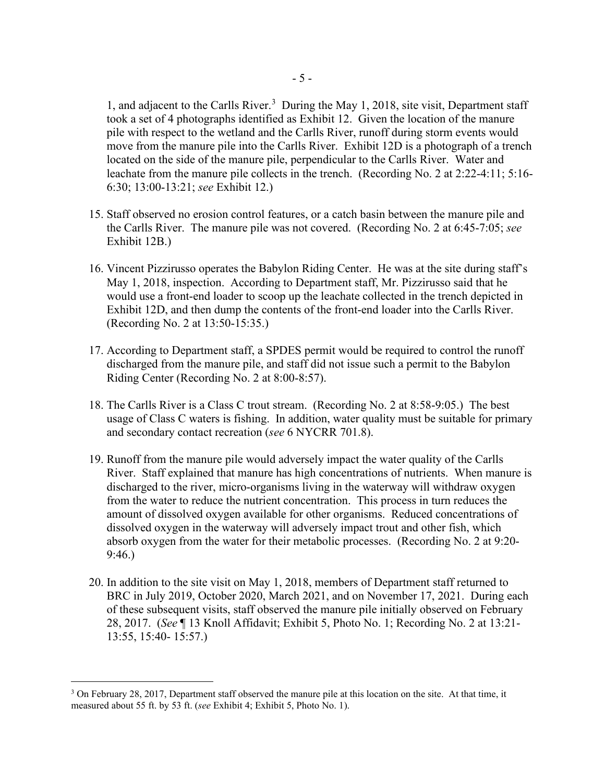1, and adjacent to the Carlls River.<sup>[3](#page-12-0)</sup> During the May 1, 2018, site visit, Department staff took a set of 4 photographs identified as Exhibit 12. Given the location of the manure pile with respect to the wetland and the Carlls River, runoff during storm events would move from the manure pile into the Carlls River. Exhibit 12D is a photograph of a trench located on the side of the manure pile, perpendicular to the Carlls River. Water and leachate from the manure pile collects in the trench. (Recording No. 2 at 2:22-4:11; 5:16- 6:30; 13:00-13:21; *see* Exhibit 12.)

- 15. Staff observed no erosion control features, or a catch basin between the manure pile and the Carlls River. The manure pile was not covered. (Recording No. 2 at 6:45-7:05; *see* Exhibit 12B.)
- 16. Vincent Pizzirusso operates the Babylon Riding Center. He was at the site during staff's May 1, 2018, inspection. According to Department staff, Mr. Pizzirusso said that he would use a front-end loader to scoop up the leachate collected in the trench depicted in Exhibit 12D, and then dump the contents of the front-end loader into the Carlls River. (Recording No. 2 at 13:50-15:35.)
- 17. According to Department staff, a SPDES permit would be required to control the runoff discharged from the manure pile, and staff did not issue such a permit to the Babylon Riding Center (Recording No. 2 at 8:00-8:57).
- 18. The Carlls River is a Class C trout stream. (Recording No. 2 at 8:58-9:05.) The best usage of Class C waters is fishing. In addition, water quality must be suitable for primary and secondary contact recreation (*see* 6 NYCRR 701.8).
- 19. Runoff from the manure pile would adversely impact the water quality of the Carlls River. Staff explained that manure has high concentrations of nutrients. When manure is discharged to the river, micro-organisms living in the waterway will withdraw oxygen from the water to reduce the nutrient concentration. This process in turn reduces the amount of dissolved oxygen available for other organisms. Reduced concentrations of dissolved oxygen in the waterway will adversely impact trout and other fish, which absorb oxygen from the water for their metabolic processes. (Recording No. 2 at 9:20- 9:46.)
- 20. In addition to the site visit on May 1, 2018, members of Department staff returned to BRC in July 2019, October 2020, March 2021, and on November 17, 2021. During each of these subsequent visits, staff observed the manure pile initially observed on February 28, 2017. (*See* ¶ 13 Knoll Affidavit; Exhibit 5, Photo No. 1; Recording No. 2 at 13:21- 13:55, 15:40- 15:57.)

<span id="page-12-0"></span><sup>&</sup>lt;sup>3</sup> On February 28, 2017, Department staff observed the manure pile at this location on the site. At that time, it measured about 55 ft. by 53 ft. (*see* Exhibit 4; Exhibit 5, Photo No. 1).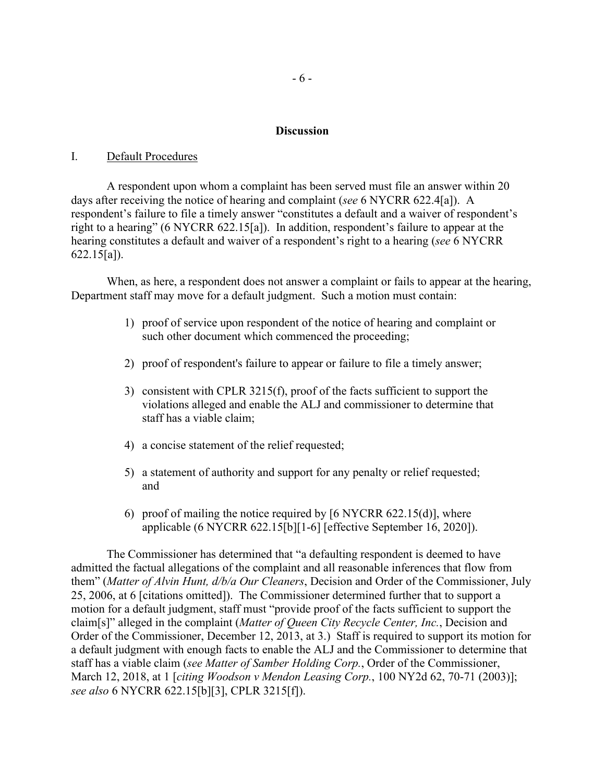#### **Discussion**

#### I. Default Procedures

A respondent upon whom a complaint has been served must file an answer within 20 days after receiving the notice of hearing and complaint (*see* 6 NYCRR 622.4[a]). A respondent's failure to file a timely answer "constitutes a default and a waiver of respondent's right to a hearing" (6 NYCRR 622.15[a]). In addition, respondent's failure to appear at the hearing constitutes a default and waiver of a respondent's right to a hearing (*see* 6 NYCRR 622.15[a]).

When, as here, a respondent does not answer a complaint or fails to appear at the hearing, Department staff may move for a default judgment. Such a motion must contain:

- 1) proof of service upon respondent of the notice of hearing and complaint or such other document which commenced the proceeding;
- 2) proof of respondent's failure to appear or failure to file a timely answer;
- 3) consistent with CPLR 3215(f), proof of the facts sufficient to support the violations alleged and enable the ALJ and commissioner to determine that staff has a viable claim;
- 4) a concise statement of the relief requested;
- 5) a statement of authority and support for any penalty or relief requested; and
- 6) proof of mailing the notice required by  $[6 \text{ NYCRR } 622.15(d)]$ , where applicable (6 NYCRR 622.15[b][1-6] [effective September 16, 2020]).

The Commissioner has determined that "a defaulting respondent is deemed to have admitted the factual allegations of the complaint and all reasonable inferences that flow from them" (*Matter of Alvin Hunt, d/b/a Our Cleaners*, Decision and Order of the Commissioner, July 25, 2006, at 6 [citations omitted]). The Commissioner determined further that to support a motion for a default judgment, staff must "provide proof of the facts sufficient to support the claim[s]" alleged in the complaint (*Matter of Queen City Recycle Center, Inc.*, Decision and Order of the Commissioner, December 12, 2013, at 3.) Staff is required to support its motion for a default judgment with enough facts to enable the ALJ and the Commissioner to determine that staff has a viable claim (*see Matter of Samber Holding Corp.*, Order of the Commissioner, March 12, 2018, at 1 [*citing Woodson v Mendon Leasing Corp.*, 100 NY2d 62, 70-71 (2003)]; *see also* 6 NYCRR 622.15[b][3], CPLR 3215[f]).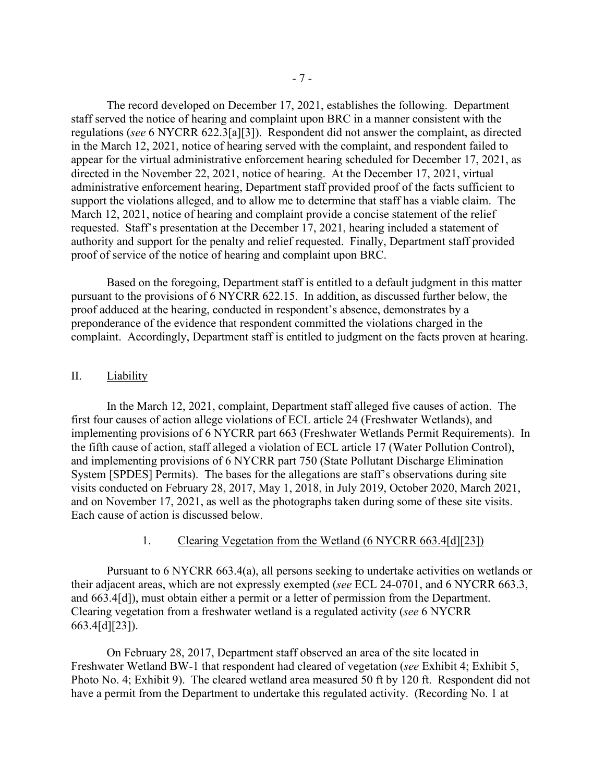The record developed on December 17, 2021, establishes the following. Department staff served the notice of hearing and complaint upon BRC in a manner consistent with the regulations (*see* 6 NYCRR 622.3[a][3]). Respondent did not answer the complaint, as directed in the March 12, 2021, notice of hearing served with the complaint, and respondent failed to appear for the virtual administrative enforcement hearing scheduled for December 17, 2021, as directed in the November 22, 2021, notice of hearing. At the December 17, 2021, virtual administrative enforcement hearing, Department staff provided proof of the facts sufficient to support the violations alleged, and to allow me to determine that staff has a viable claim. The March 12, 2021, notice of hearing and complaint provide a concise statement of the relief requested. Staff's presentation at the December 17, 2021, hearing included a statement of authority and support for the penalty and relief requested. Finally, Department staff provided proof of service of the notice of hearing and complaint upon BRC.

Based on the foregoing, Department staff is entitled to a default judgment in this matter pursuant to the provisions of 6 NYCRR 622.15. In addition, as discussed further below, the proof adduced at the hearing, conducted in respondent's absence, demonstrates by a preponderance of the evidence that respondent committed the violations charged in the complaint. Accordingly, Department staff is entitled to judgment on the facts proven at hearing.

#### II. Liability

In the March 12, 2021, complaint, Department staff alleged five causes of action. The first four causes of action allege violations of ECL article 24 (Freshwater Wetlands), and implementing provisions of 6 NYCRR part 663 (Freshwater Wetlands Permit Requirements). In the fifth cause of action, staff alleged a violation of ECL article 17 (Water Pollution Control), and implementing provisions of 6 NYCRR part 750 (State Pollutant Discharge Elimination System [SPDES] Permits). The bases for the allegations are staff's observations during site visits conducted on February 28, 2017, May 1, 2018, in July 2019, October 2020, March 2021, and on November 17, 2021, as well as the photographs taken during some of these site visits. Each cause of action is discussed below.

#### 1. Clearing Vegetation from the Wetland (6 NYCRR 663.4[d][23])

Pursuant to 6 NYCRR 663.4(a), all persons seeking to undertake activities on wetlands or their adjacent areas, which are not expressly exempted (*see* ECL 24-0701, and 6 NYCRR 663.3, and 663.4[d]), must obtain either a permit or a letter of permission from the Department. Clearing vegetation from a freshwater wetland is a regulated activity (*see* 6 NYCRR 663.4[d][23]).

On February 28, 2017, Department staff observed an area of the site located in Freshwater Wetland BW-1 that respondent had cleared of vegetation (*see* Exhibit 4; Exhibit 5, Photo No. 4; Exhibit 9). The cleared wetland area measured 50 ft by 120 ft. Respondent did not have a permit from the Department to undertake this regulated activity. (Recording No. 1 at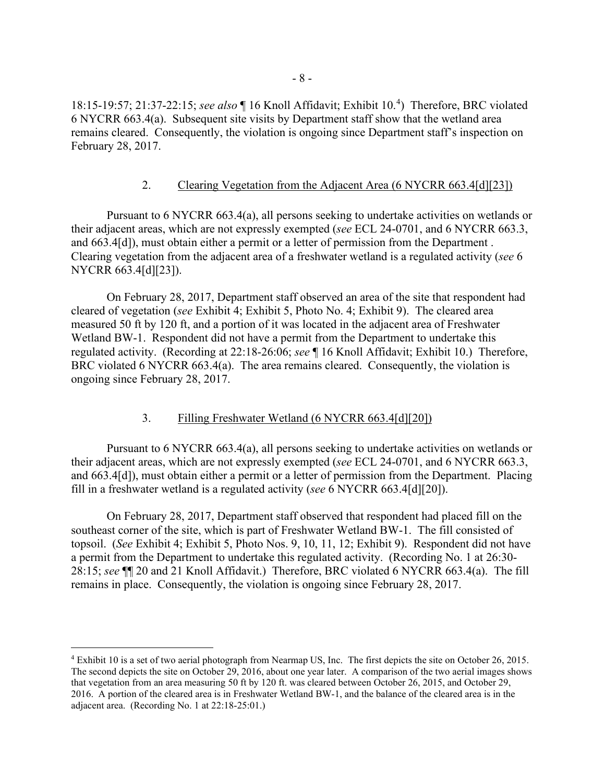18:15-19:57; 21:37-22:15; *see also* ¶ 16 Knoll Affidavit; Exhibit 10. [4](#page-15-0) ) Therefore, BRC violated 6 NYCRR 663.4(a). Subsequent site visits by Department staff show that the wetland area remains cleared. Consequently, the violation is ongoing since Department staff's inspection on February 28, 2017.

### 2. Clearing Vegetation from the Adjacent Area (6 NYCRR 663.4[d][23])

Pursuant to 6 NYCRR 663.4(a), all persons seeking to undertake activities on wetlands or their adjacent areas, which are not expressly exempted (*see* ECL 24-0701, and 6 NYCRR 663.3, and 663.4[d]), must obtain either a permit or a letter of permission from the Department . Clearing vegetation from the adjacent area of a freshwater wetland is a regulated activity (*see* 6 NYCRR 663.4[d][23]).

On February 28, 2017, Department staff observed an area of the site that respondent had cleared of vegetation (*see* Exhibit 4; Exhibit 5, Photo No. 4; Exhibit 9). The cleared area measured 50 ft by 120 ft, and a portion of it was located in the adjacent area of Freshwater Wetland BW-1. Respondent did not have a permit from the Department to undertake this regulated activity. (Recording at 22:18-26:06; *see* ¶ 16 Knoll Affidavit; Exhibit 10.) Therefore, BRC violated 6 NYCRR 663.4(a). The area remains cleared. Consequently, the violation is ongoing since February 28, 2017.

#### 3. Filling Freshwater Wetland (6 NYCRR 663.4[d][20])

Pursuant to 6 NYCRR 663.4(a), all persons seeking to undertake activities on wetlands or their adjacent areas, which are not expressly exempted (*see* ECL 24-0701, and 6 NYCRR 663.3, and 663.4[d]), must obtain either a permit or a letter of permission from the Department. Placing fill in a freshwater wetland is a regulated activity (*see* 6 NYCRR 663.4[d][20]).

On February 28, 2017, Department staff observed that respondent had placed fill on the southeast corner of the site, which is part of Freshwater Wetland BW-1. The fill consisted of topsoil. (*See* Exhibit 4; Exhibit 5, Photo Nos. 9, 10, 11, 12; Exhibit 9). Respondent did not have a permit from the Department to undertake this regulated activity. (Recording No. 1 at 26:30- 28:15; *see* ¶¶ 20 and 21 Knoll Affidavit.) Therefore, BRC violated 6 NYCRR 663.4(a). The fill remains in place. Consequently, the violation is ongoing since February 28, 2017.

<span id="page-15-0"></span><sup>4</sup> Exhibit 10 is a set of two aerial photograph from Nearmap US, Inc. The first depicts the site on October 26, 2015. The second depicts the site on October 29, 2016, about one year later. A comparison of the two aerial images shows that vegetation from an area measuring 50 ft by 120 ft. was cleared between October 26, 2015, and October 29, 2016. A portion of the cleared area is in Freshwater Wetland BW-1, and the balance of the cleared area is in the adjacent area. (Recording No. 1 at 22:18-25:01.)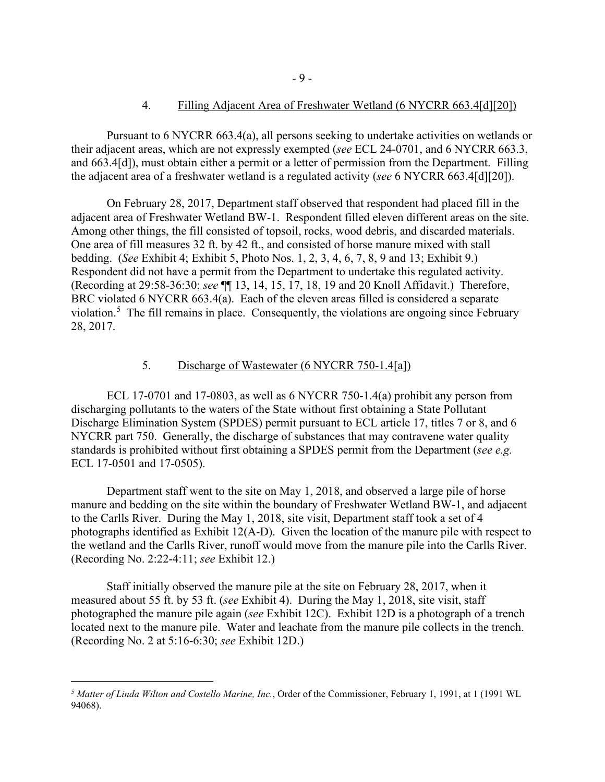### 4. Filling Adjacent Area of Freshwater Wetland (6 NYCRR 663.4[d][20])

Pursuant to 6 NYCRR 663.4(a), all persons seeking to undertake activities on wetlands or their adjacent areas, which are not expressly exempted (*see* ECL 24-0701, and 6 NYCRR 663.3, and 663.4[d]), must obtain either a permit or a letter of permission from the Department. Filling the adjacent area of a freshwater wetland is a regulated activity (*see* 6 NYCRR 663.4[d][20]).

On February 28, 2017, Department staff observed that respondent had placed fill in the adjacent area of Freshwater Wetland BW-1. Respondent filled eleven different areas on the site. Among other things, the fill consisted of topsoil, rocks, wood debris, and discarded materials. One area of fill measures 32 ft. by 42 ft., and consisted of horse manure mixed with stall bedding. (*See* Exhibit 4; Exhibit 5, Photo Nos. 1, 2, 3, 4, 6, 7, 8, 9 and 13; Exhibit 9.) Respondent did not have a permit from the Department to undertake this regulated activity. (Recording at 29:58-36:30; *see* ¶¶ 13, 14, 15, 17, 18, 19 and 20 Knoll Affidavit.) Therefore, BRC violated 6 NYCRR 663.4(a). Each of the eleven areas filled is considered a separate violation.<sup>[5](#page-16-0)</sup> The fill remains in place. Consequently, the violations are ongoing since February 28, 2017.

## 5. Discharge of Wastewater (6 NYCRR 750-1.4[a])

ECL 17-0701 and 17-0803, as well as 6 NYCRR 750-1.4(a) prohibit any person from discharging pollutants to the waters of the State without first obtaining a State Pollutant Discharge Elimination System (SPDES) permit pursuant to ECL article 17, titles 7 or 8, and 6 NYCRR part 750. Generally, the discharge of substances that may contravene water quality standards is prohibited without first obtaining a SPDES permit from the Department (*see e.g.* ECL 17-0501 and 17-0505).

Department staff went to the site on May 1, 2018, and observed a large pile of horse manure and bedding on the site within the boundary of Freshwater Wetland BW-1, and adjacent to the Carlls River. During the May 1, 2018, site visit, Department staff took a set of 4 photographs identified as Exhibit 12(A-D). Given the location of the manure pile with respect to the wetland and the Carlls River, runoff would move from the manure pile into the Carlls River. (Recording No. 2:22-4:11; *see* Exhibit 12.)

Staff initially observed the manure pile at the site on February 28, 2017, when it measured about 55 ft. by 53 ft. (*see* Exhibit 4). During the May 1, 2018, site visit, staff photographed the manure pile again (*see* Exhibit 12C). Exhibit 12D is a photograph of a trench located next to the manure pile. Water and leachate from the manure pile collects in the trench. (Recording No. 2 at 5:16-6:30; *see* Exhibit 12D.)

<span id="page-16-0"></span><sup>5</sup> *Matter of Linda Wilton and Costello Marine, Inc.*, Order of the Commissioner, February 1, 1991, at 1 (1991 WL 94068).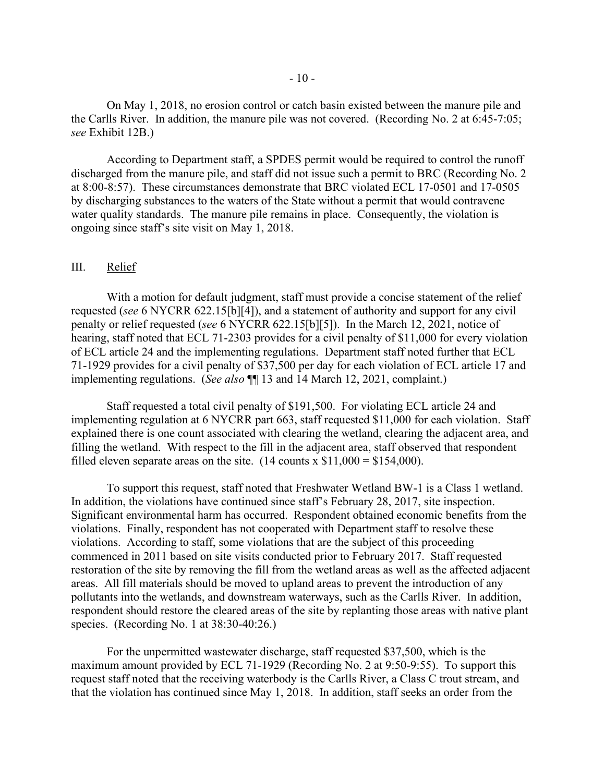On May 1, 2018, no erosion control or catch basin existed between the manure pile and the Carlls River. In addition, the manure pile was not covered. (Recording No. 2 at 6:45-7:05; *see* Exhibit 12B.)

According to Department staff, a SPDES permit would be required to control the runoff discharged from the manure pile, and staff did not issue such a permit to BRC (Recording No. 2 at 8:00-8:57). These circumstances demonstrate that BRC violated ECL 17-0501 and 17-0505 by discharging substances to the waters of the State without a permit that would contravene water quality standards. The manure pile remains in place. Consequently, the violation is ongoing since staff's site visit on May 1, 2018.

#### III. Relief

With a motion for default judgment, staff must provide a concise statement of the relief requested (*see* 6 NYCRR 622.15[b][4]), and a statement of authority and support for any civil penalty or relief requested (*see* 6 NYCRR 622.15[b][5]). In the March 12, 2021, notice of hearing, staff noted that ECL 71-2303 provides for a civil penalty of \$11,000 for every violation of ECL article 24 and the implementing regulations. Department staff noted further that ECL 71-1929 provides for a civil penalty of \$37,500 per day for each violation of ECL article 17 and implementing regulations. (*See also* ¶¶ 13 and 14 March 12, 2021, complaint.)

Staff requested a total civil penalty of \$191,500. For violating ECL article 24 and implementing regulation at 6 NYCRR part 663, staff requested \$11,000 for each violation. Staff explained there is one count associated with clearing the wetland, clearing the adjacent area, and filling the wetland. With respect to the fill in the adjacent area, staff observed that respondent filled eleven separate areas on the site.  $(14 \text{ counts x } $11,000 = $154,000)$ .

To support this request, staff noted that Freshwater Wetland BW-1 is a Class 1 wetland. In addition, the violations have continued since staff's February 28, 2017, site inspection. Significant environmental harm has occurred. Respondent obtained economic benefits from the violations. Finally, respondent has not cooperated with Department staff to resolve these violations. According to staff, some violations that are the subject of this proceeding commenced in 2011 based on site visits conducted prior to February 2017. Staff requested restoration of the site by removing the fill from the wetland areas as well as the affected adjacent areas. All fill materials should be moved to upland areas to prevent the introduction of any pollutants into the wetlands, and downstream waterways, such as the Carlls River. In addition, respondent should restore the cleared areas of the site by replanting those areas with native plant species. (Recording No. 1 at 38:30-40:26.)

For the unpermitted wastewater discharge, staff requested \$37,500, which is the maximum amount provided by ECL 71-1929 (Recording No. 2 at 9:50-9:55). To support this request staff noted that the receiving waterbody is the Carlls River, a Class C trout stream, and that the violation has continued since May 1, 2018. In addition, staff seeks an order from the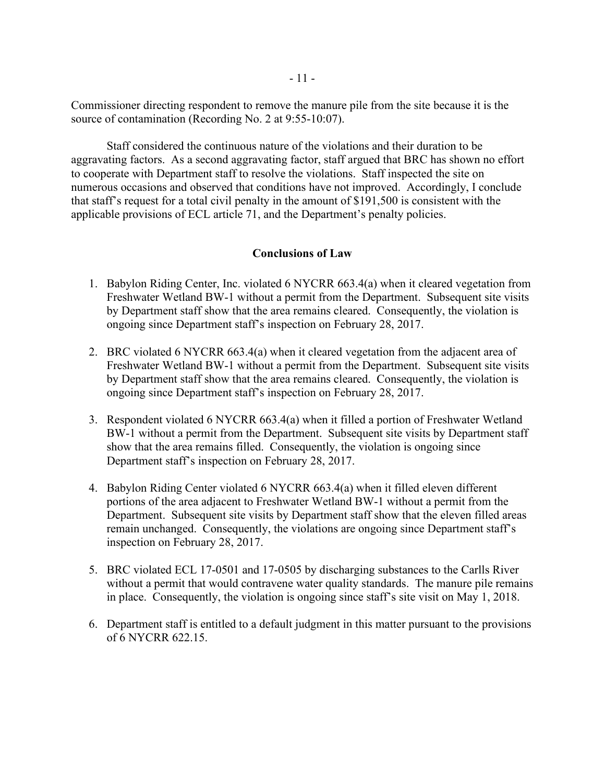Commissioner directing respondent to remove the manure pile from the site because it is the source of contamination (Recording No. 2 at 9:55-10:07).

Staff considered the continuous nature of the violations and their duration to be aggravating factors. As a second aggravating factor, staff argued that BRC has shown no effort to cooperate with Department staff to resolve the violations. Staff inspected the site on numerous occasions and observed that conditions have not improved. Accordingly, I conclude that staff's request for a total civil penalty in the amount of \$191,500 is consistent with the applicable provisions of ECL article 71, and the Department's penalty policies.

#### **Conclusions of Law**

- 1. Babylon Riding Center, Inc. violated 6 NYCRR 663.4(a) when it cleared vegetation from Freshwater Wetland BW-1 without a permit from the Department. Subsequent site visits by Department staff show that the area remains cleared. Consequently, the violation is ongoing since Department staff's inspection on February 28, 2017.
- 2. BRC violated 6 NYCRR 663.4(a) when it cleared vegetation from the adjacent area of Freshwater Wetland BW-1 without a permit from the Department. Subsequent site visits by Department staff show that the area remains cleared. Consequently, the violation is ongoing since Department staff's inspection on February 28, 2017.
- 3. Respondent violated 6 NYCRR 663.4(a) when it filled a portion of Freshwater Wetland BW-1 without a permit from the Department. Subsequent site visits by Department staff show that the area remains filled. Consequently, the violation is ongoing since Department staff's inspection on February 28, 2017.
- 4. Babylon Riding Center violated 6 NYCRR 663.4(a) when it filled eleven different portions of the area adjacent to Freshwater Wetland BW-1 without a permit from the Department. Subsequent site visits by Department staff show that the eleven filled areas remain unchanged. Consequently, the violations are ongoing since Department staff's inspection on February 28, 2017.
- 5. BRC violated ECL 17-0501 and 17-0505 by discharging substances to the Carlls River without a permit that would contravene water quality standards. The manure pile remains in place. Consequently, the violation is ongoing since staff's site visit on May 1, 2018.
- 6. Department staff is entitled to a default judgment in this matter pursuant to the provisions of 6 NYCRR 622.15.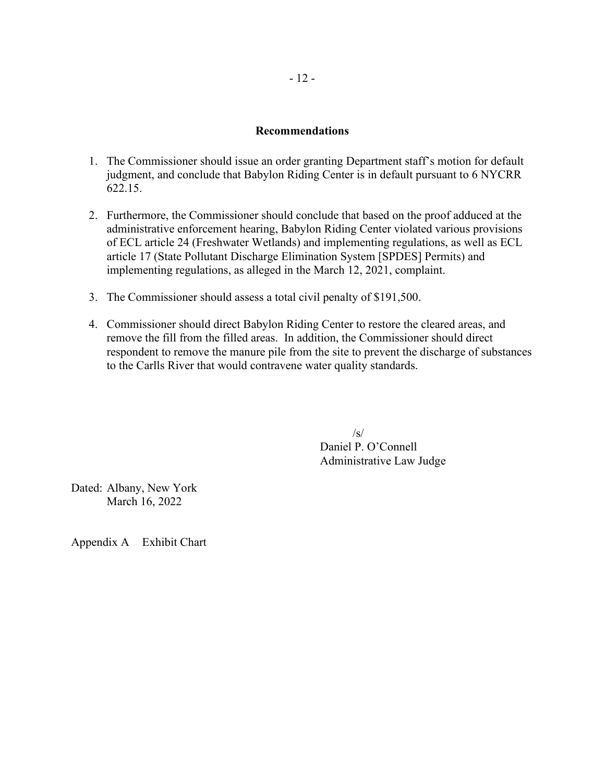### **Recommendations**

- 1. The Commissioner should issue an order granting Department staff's motion for default judgment, and conclude that Babylon Riding Center is in default pursuant to 6 NYCRR 622.15.
- 2. Furthermore, the Commissioner should conclude that based on the proof adduced at the administrative enforcement hearing, Babylon Riding Center violated various provisions of ECL article 24 (Freshwater Wetlands) and implementing regulations, as well as ECL article 17 (State Pollutant Discharge Elimination System [SPDES] Permits) and implementing regulations, as alleged in the March 12, 2021, complaint.
- 3. The Commissioner should assess a total civil penalty of \$191,500.
- 4. Commissioner should direct Babylon Riding Center to restore the cleared areas, and remove the fill from the filled areas. In addition, the Commissioner should direct respondent to remove the manure pile from the site to prevent the discharge of substances to the Carlls River that would contravene water quality standards.

 $\sqrt{s}$ Daniel P. O'Connell Administrative Law Judge

Dated: Albany, New York March 16, 2022

Appendix A Exhibit Chart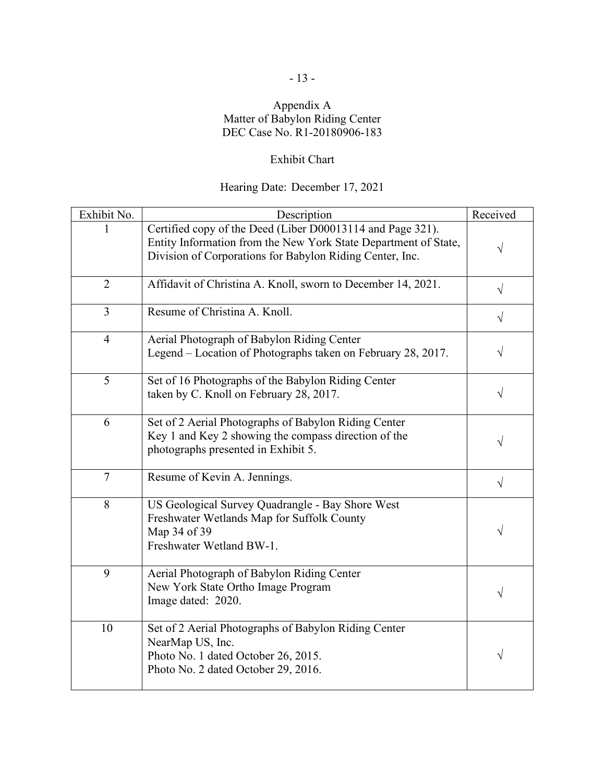## Appendix A Matter of Babylon Riding Center DEC Case No. R1-20180906-183

# Exhibit Chart

# Hearing Date: December 17, 2021

| Exhibit No.    | Description                                                                                                                                                                               | Received  |
|----------------|-------------------------------------------------------------------------------------------------------------------------------------------------------------------------------------------|-----------|
|                | Certified copy of the Deed (Liber D00013114 and Page 321).<br>Entity Information from the New York State Department of State,<br>Division of Corporations for Babylon Riding Center, Inc. | $\sqrt{}$ |
| $\overline{2}$ | Affidavit of Christina A. Knoll, sworn to December 14, 2021.                                                                                                                              | $\sqrt{}$ |
| $\overline{3}$ | Resume of Christina A. Knoll.                                                                                                                                                             | $\sqrt{}$ |
| $\overline{4}$ | Aerial Photograph of Babylon Riding Center<br>Legend – Location of Photographs taken on February 28, 2017.                                                                                | $\sqrt{}$ |
| 5              | Set of 16 Photographs of the Babylon Riding Center<br>taken by C. Knoll on February 28, 2017.                                                                                             | $\sqrt{}$ |
| 6              | Set of 2 Aerial Photographs of Babylon Riding Center<br>Key 1 and Key 2 showing the compass direction of the<br>photographs presented in Exhibit 5.                                       | $\sqrt{}$ |
| 7              | Resume of Kevin A. Jennings.                                                                                                                                                              | $\sqrt{}$ |
| 8              | US Geological Survey Quadrangle - Bay Shore West<br>Freshwater Wetlands Map for Suffolk County<br>Map 34 of 39<br>Freshwater Wetland BW-1.                                                | $\sqrt{}$ |
| 9              | Aerial Photograph of Babylon Riding Center<br>New York State Ortho Image Program<br>Image dated: 2020.                                                                                    | $\sqrt{}$ |
| 10             | Set of 2 Aerial Photographs of Babylon Riding Center<br>NearMap US, Inc.<br>Photo No. 1 dated October 26, 2015.<br>Photo No. 2 dated October 29, 2016.                                    | $\sqrt{}$ |